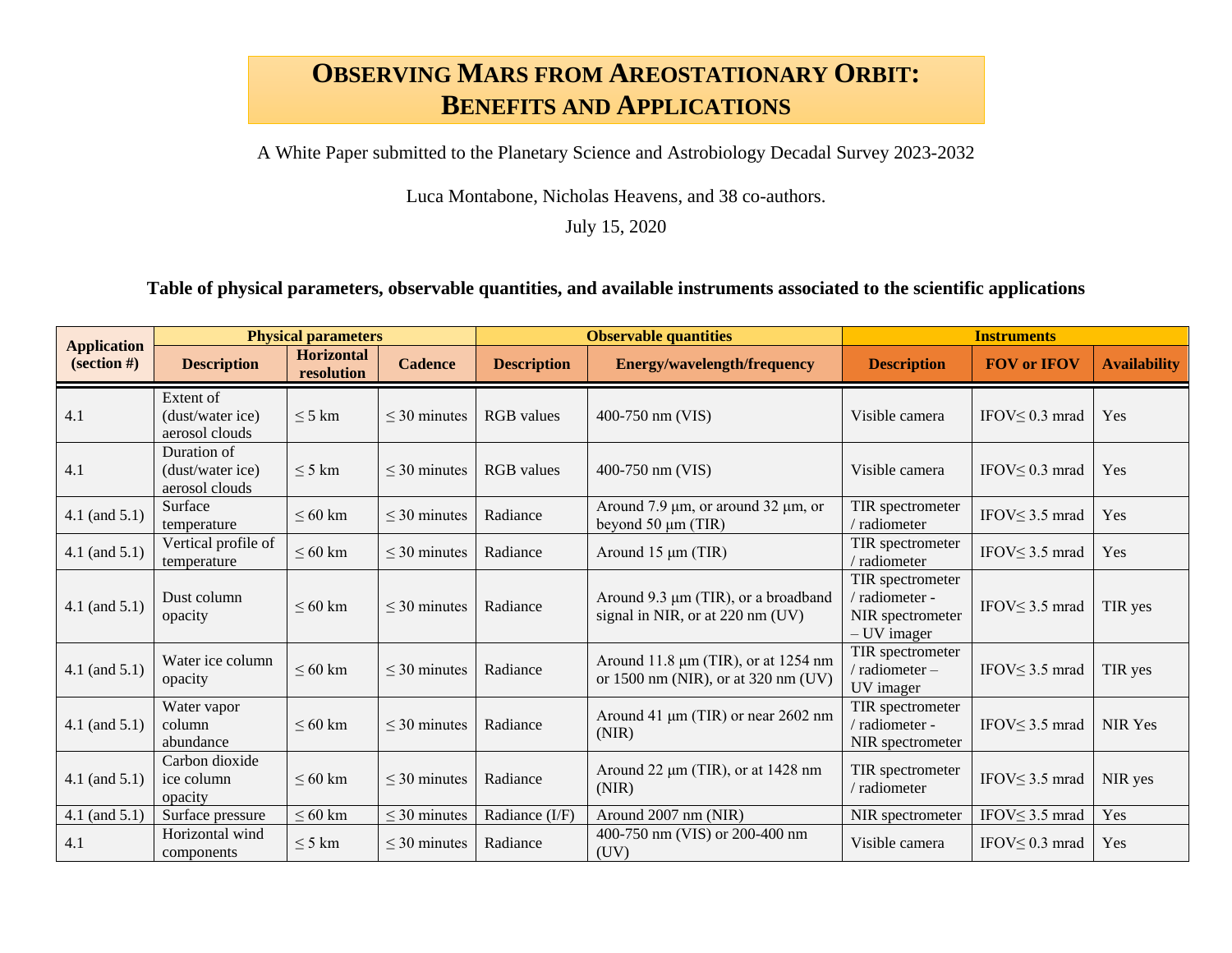## **OBSERVING MARS FROM AREOSTATIONARY ORBIT: BENEFITS AND APPLICATIONS**

A White Paper submitted to the Planetary Science and Astrobiology Decadal Survey 2023-2032

Luca Montabone, Nicholas Heavens, and 38 co-authors.

July 15, 2020

## **Table of physical parameters, observable quantities, and available instruments associated to the scientific applications**

| <b>Application</b><br>$\left( \text{section } \# \right)$ | <b>Physical parameters</b>                        |                                 |                   | <b>Observable quantities</b> |                                                                            | <b>Instruments</b>                                                    |                       |                     |
|-----------------------------------------------------------|---------------------------------------------------|---------------------------------|-------------------|------------------------------|----------------------------------------------------------------------------|-----------------------------------------------------------------------|-----------------------|---------------------|
|                                                           | <b>Description</b>                                | <b>Horizontal</b><br>resolution | <b>Cadence</b>    | <b>Description</b>           | <b>Energy/wavelength/frequency</b>                                         | <b>Description</b>                                                    | <b>FOV or IFOV</b>    | <b>Availability</b> |
| 4.1                                                       | Extent of<br>(dust/water ice)<br>aerosol clouds   | $\leq$ 5 km                     | $\leq$ 30 minutes | <b>RGB</b> values            | 400-750 nm (VIS)                                                           | Visible camera                                                        | IFOV $\leq$ 0.3 mrad  | Yes                 |
| 4.1                                                       | Duration of<br>(dust/water ice)<br>aerosol clouds | $\leq$ 5 km                     | $\leq$ 30 minutes | <b>RGB</b> values            | 400-750 nm (VIS)                                                           | Visible camera                                                        | IFOV $\leq$ 0.3 mrad  | Yes                 |
| $4.1$ (and $5.1$ )                                        | Surface<br>temperature                            | $\leq 60$ km                    | $\leq$ 30 minutes | Radiance                     | Around 7.9 $\mu$ m, or around 32 $\mu$ m, or<br>beyond $50 \mu m$ (TIR)    | TIR spectrometer<br>/ radiometer                                      | IFOV $\leq$ 3.5 mrad  | Yes                 |
| $4.1$ (and $5.1$ )                                        | Vertical profile of<br>temperature                | $\leq 60$ km                    | $\leq$ 30 minutes | Radiance                     | Around 15 µm (TIR)                                                         | TIR spectrometer<br>/ radiometer                                      | IFOV $\leq$ 3.5 mrad  | Yes                 |
| $4.1$ (and $5.1$ )                                        | Dust column<br>opacity                            | $\leq 60$ km                    | $\leq$ 30 minutes | Radiance                     | Around 9.3 µm (TIR), or a broadband<br>signal in NIR, or at 220 nm (UV)    | TIR spectrometer<br>/ radiometer -<br>NIR spectrometer<br>- UV imager | IFOV $\leq$ 3.5 mrad  | TIR yes             |
| $4.1$ (and $5.1$ )                                        | Water ice column<br>opacity                       | $\leq 60$ km                    | $\leq$ 30 minutes | Radiance                     | Around 11.8 μm (TIR), or at 1254 nm<br>or 1500 nm (NIR), or at 320 nm (UV) | TIR spectrometer<br>' radiometer -<br>UV imager                       | IFOV $\leq$ 3.5 mrad  | TIR yes             |
| $4.1$ (and $5.1$ )                                        | Water vapor<br>column<br>abundance                | $\leq 60$ km                    | $\leq$ 30 minutes | Radiance                     | Around 41 μm (TIR) or near 2602 nm<br>(NIR)                                | TIR spectrometer<br>/ radiometer -<br>NIR spectrometer                | IFOV<br>< 3.5 mrad    | <b>NIR Yes</b>      |
| 4.1 (and $5.1$ )                                          | Carbon dioxide<br>ice column<br>opacity           | $\leq 60$ km                    | $\leq$ 30 minutes | Radiance                     | Around 22 µm (TIR), or at 1428 nm<br>(NIR)                                 | TIR spectrometer<br>/ radiometer                                      | IFOV  s 3.5 mrad      | NIR yes             |
| $4.1$ (and $5.1$ )                                        | Surface pressure                                  | $\leq 60$ km                    | $\leq$ 30 minutes | Radiance (I/F)               | Around 2007 nm (NIR)                                                       | NIR spectrometer                                                      | IFOV  subset 3.5 mrad | Yes                 |
| 4.1                                                       | Horizontal wind<br>components                     | $\leq$ 5 km                     | $\leq$ 30 minutes | Radiance                     | 400-750 nm (VIS) or 200-400 nm<br>(UV)                                     | Visible camera                                                        | IFOV $\leq$ 0.3 mrad  | Yes                 |